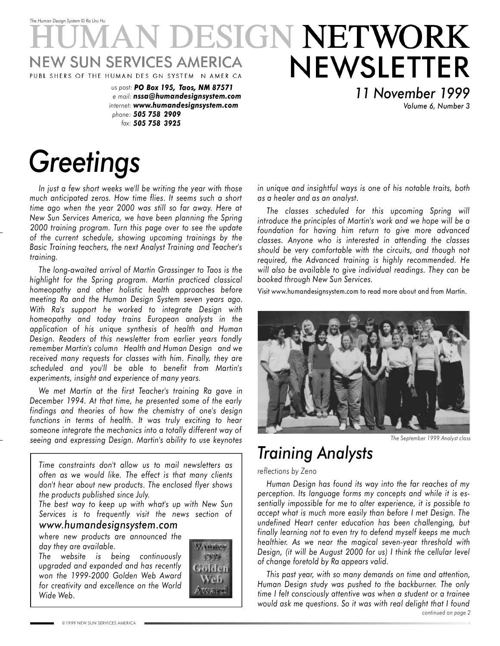### *The Human Design System* © *Ra Uru Hu* **DESIGN NETWORK** NEWSLETTER **NEW SUN SERVICES AMERICA** PUBL SHERS OF THE HUMAN DES GN SYSTEM N AMER CA

*us post: PO Box 195, Taos, NM 87571 e mail: nssa@humandesignsystem.com internet: www.humandesignsystem.com phone: 505 758 2909 fax: 505 758 3925*

# *Greetings*

*In just a few short weeks we'll be writing the year with those much anticipated zeros. How time flies. It seems such a short time ago when the year 2000 was still so far away. Here at New Sun Services America, we have been planning the Spring 2000 training program. Turn this page over to see the update of the current schedule, showing upcoming trainings by the Basic Training teachers, the next Analyst Training and Teacher's training.*

*The long-awaited arrival of Martin Grassinger to Taos is the highlight for the Spring program. Martin practiced classical homeopathy and other holistic health approaches before meeting Ra and the Human Design System seven years ago. With Ra's support he worked to integrate Design with homeopathy and today trains European analysts in the application of his unique synthesis of health and Human Design. Readers of this newsletter from earlier years fondly remember Martin's column Health and Human Design and we received many requests for classes with him. Finally, they are scheduled and you'll be able to benefit from Martin's experiments, insight and experience of many years.*

*We met Martin at the first Teacher's training Ra gave in December 1994. At that time, he presented some of the early findings and theories of how the chemistry of one's design functions in terms of health. It was truly exciting to hear someone integrate the mechanics into a totally different way of seeing and expressing Design. Martin's ability to use keynotes*

*Time constraints don't allow us to mail newsletters as often as we would like. The effect is that many clients don't hear about new products. The enclosed flyer shows the products published since July.*

*The best way to keep up with what's up with New Sun Services is to frequently visit the news section of www.humandesignsystem.com*

*where new products are announced the day they are available.*

*The website is being continuously upgraded and expanded and has recently won the 1999-2000 Golden Web Award for creativity and excellence on the World Wide Web.*



*in unique and insightful ways is one of his notable traits, both as a healer and as an analyst.*

*11 November 1999*

*Volume 6, Number 3*

*The classes scheduled for this upcoming Spring will introduce the principles of Martin's work and we hope will be a foundation for having him return to give more advanced classes. Anyone who is interested in attending the classes should be very comfortable with the circuits, and though not required, the Advanced training is highly recommended. He will also be available to give individual readings. They can be booked through New Sun Services.*

Visit www.humandesignsystem.com to read more about and from Martin.



*The September 1999 Analyst class*

## *Training Analysts*

*reflections by Zeno*

*Human Design has found its way into the far reaches of my perception. Its language forms my concepts and while it is essentially impossible for me to alter experience, it is possible to accept what is much more easily than before I met Design. The undefined Heart center education has been challenging, but finally learning not to even try to defend myself keeps me much healthier. As we near the magical seven-year threshold with Design, (it will be August 2000 for us) I think the cellular level of change foretold by Ra appears valid.*

*continued on page 2 This past year, with so many demands on time and attention, Human Design study was pushed to the backburner. The only time I felt consciously attentive was when a student or a trainee would ask me questions. So it was with real delight that I found*